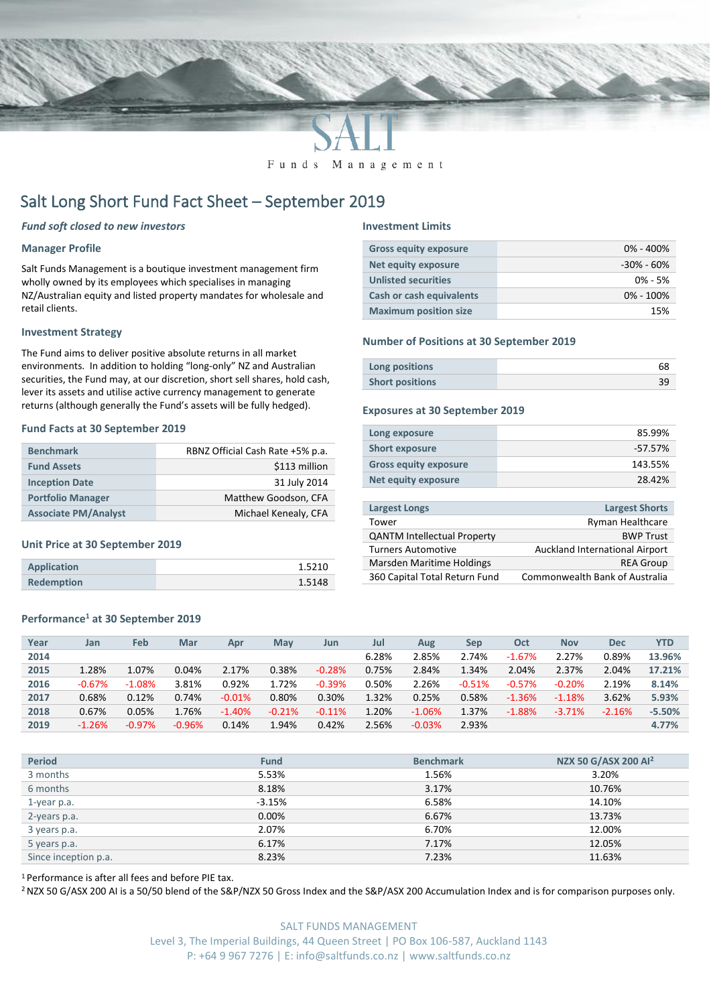

Funds Management

# Salt Long Short Fund Fact Sheet – September 2019

# *Fund soft closed to new investors*

# **Manager Profile**

Salt Funds Management is a boutique investment management firm wholly owned by its employees which specialises in managing NZ/Australian equity and listed property mandates for wholesale and retail clients.

# **Investment Strategy**

The Fund aims to deliver positive absolute returns in all market environments. In addition to holding "long-only" NZ and Australian securities, the Fund may, at our discretion, short sell shares, hold cash, lever its assets and utilise active currency management to generate returns (although generally the Fund's assets will be fully hedged).

### **Fund Facts at 30 September 2019**

| <b>Benchmark</b>            | RBNZ Official Cash Rate +5% p.a. |
|-----------------------------|----------------------------------|
| <b>Fund Assets</b>          | \$113 million                    |
| <b>Inception Date</b>       | 31 July 2014                     |
| <b>Portfolio Manager</b>    | Matthew Goodson, CFA             |
| <b>Associate PM/Analyst</b> | Michael Kenealy, CFA             |

## **Unit Price at 30 September 2019**

| <b>Application</b> | 1.5210 |
|--------------------|--------|
| <b>Redemption</b>  | 1.5148 |

# **Performance<sup>1</sup> at 30 September 2019**

#### **Investment Limits**

| <b>Gross equity exposure</b> | $0\% - 400\%$ |
|------------------------------|---------------|
| <b>Net equity exposure</b>   | -30% - 60%    |
| <b>Unlisted securities</b>   | $0\% - 5\%$   |
| Cash or cash equivalents     | $0\% - 100\%$ |
| <b>Maximum position size</b> | 15%           |

#### **Number of Positions at 30 September 2019**

| Long positions         |  |
|------------------------|--|
| <b>Short positions</b> |  |

# **Exposures at 30 September 2019**

| Long exposure                | 85.99%     |
|------------------------------|------------|
| <b>Short exposure</b>        | $-57.57\%$ |
| <b>Gross equity exposure</b> | 143.55%    |
| Net equity exposure          | 28.42%     |
|                              |            |

| <b>Largest Longs</b>               | <b>Largest Shorts</b>                 |
|------------------------------------|---------------------------------------|
| Tower                              | <b>Ryman Healthcare</b>               |
| <b>QANTM Intellectual Property</b> | <b>BWP Trust</b>                      |
| <b>Turners Automotive</b>          | Auckland International Airport        |
| Marsden Maritime Holdings          | <b>REA Group</b>                      |
| 360 Capital Total Return Fund      | <b>Commonwealth Bank of Australia</b> |
|                                    |                                       |

| Year | Jan      | Feb      | Mar      | Apr      | May      | Jun      | Jul   | Aug      | Sep      | Oct      | <b>Nov</b> | <b>Dec</b> | YTD      |
|------|----------|----------|----------|----------|----------|----------|-------|----------|----------|----------|------------|------------|----------|
| 2014 |          |          |          |          |          |          | 6.28% | 2.85%    | 2.74%    | $-1.67%$ | 2.27%      | 0.89%      | 13.96%   |
| 2015 | 1.28%    | 1.07%    | 0.04%    | 2.17%    | 0.38%    | $-0.28%$ | 0.75% | 2.84%    | 1.34%    | 2.04%    | 2.37%      | 2.04%      | 17.21%   |
| 2016 | $-0.67%$ | $-1.08%$ | 3.81%    | 0.92%    | 1.72%    | $-0.39%$ | 0.50% | 2.26%    | $-0.51%$ | $-0.57%$ | $-0.20%$   | 2.19%      | 8.14%    |
| 2017 | 0.68%    | 0.12%    | 0.74%    | $-0.01%$ | 0.80%    | 0.30%    | 1.32% | 0.25%    | 0.58%    | $-1.36%$ | $-1.18%$   | 3.62%      | 5.93%    |
| 2018 | 0.67%    | 0.05%    | 1.76%    | $-1.40%$ | $-0.21%$ | $-0.11%$ | 1.20% | $-1.06%$ | 1.37%    | $-1.88%$ | $-3.71%$   | $-2.16%$   | $-5.50%$ |
| 2019 | $-1.26%$ | $-0.97%$ | $-0.96%$ | 0.14%    | 1.94%    | 0.42%    | 2.56% | $-0.03%$ | 2.93%    |          |            |            | 4.77%    |

| <b>Period</b>        | <b>Fund</b> | <b>Benchmark</b> | NZX 50 G/ASX 200 Al <sup>2</sup> |
|----------------------|-------------|------------------|----------------------------------|
| 3 months             | 5.53%       | 1.56%            | 3.20%                            |
| 6 months             | 8.18%       | 3.17%            | 10.76%                           |
| 1-year p.a.          | $-3.15%$    | 6.58%            | 14.10%                           |
| 2-years p.a.         | 0.00%       | 6.67%            | 13.73%                           |
| 3 years p.a.         | 2.07%       | 6.70%            | 12.00%                           |
| 5 years p.a.         | 6.17%       | 7.17%            | 12.05%                           |
| Since inception p.a. | 8.23%       | 7.23%            | 11.63%                           |

<sup>1</sup> Performance is after all fees and before PIE tax.

<sup>2</sup> NZX 50 G/ASX 200 AI is a 50/50 blend of the S&P/NZX 50 Gross Index and the S&P/ASX 200 Accumulation Index and is for comparison purposes only.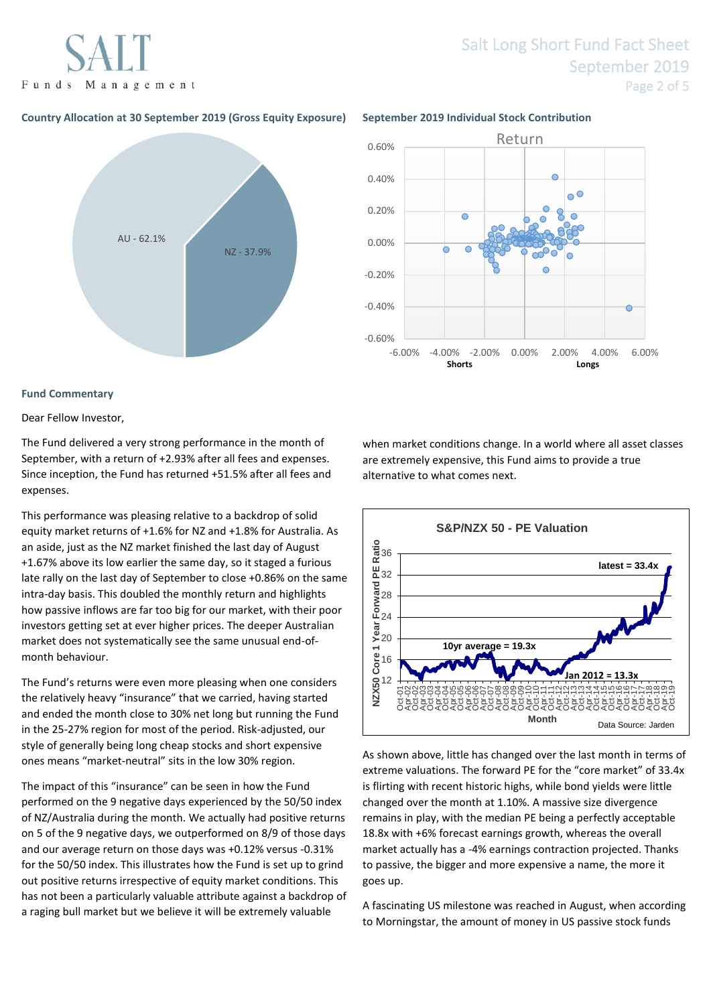

# Salt Long Short Fund Fact Sheet September 2019 Page 2 of 5

# **Country Allocation at 30 September 2019 (Gross Equity Exposure) September 2019 Individual Stock Contribution**





## **Fund Commentary**

Dear Fellow Investor,

The Fund delivered a very strong performance in the month of September, with a return of +2.93% after all fees and expenses. Since inception, the Fund has returned +51.5% after all fees and expenses.

This performance was pleasing relative to a backdrop of solid equity market returns of +1.6% for NZ and +1.8% for Australia. As an aside, just as the NZ market finished the last day of August +1.67% above its low earlier the same day, so it staged a furious late rally on the last day of September to close +0.86% on the same intra-day basis. This doubled the monthly return and highlights how passive inflows are far too big for our market, with their poor investors getting set at ever higher prices. The deeper Australian market does not systematically see the same unusual end-ofmonth behaviour.

The Fund's returns were even more pleasing when one considers the relatively heavy "insurance" that we carried, having started and ended the month close to 30% net long but running the Fund in the 25-27% region for most of the period. Risk-adjusted, our style of generally being long cheap stocks and short expensive ones means "market-neutral" sits in the low 30% region.

The impact of this "insurance" can be seen in how the Fund performed on the 9 negative days experienced by the 50/50 index of NZ/Australia during the month. We actually had positive returns on 5 of the 9 negative days, we outperformed on 8/9 of those days and our average return on those days was +0.12% versus -0.31% for the 50/50 index. This illustrates how the Fund is set up to grind out positive returns irrespective of equity market conditions. This has not been a particularly valuable attribute against a backdrop of a raging bull market but we believe it will be extremely valuable

when market conditions change. In a world where all asset classes are extremely expensive, this Fund aims to provide a true alternative to what comes next.



As shown above, little has changed over the last month in terms of extreme valuations. The forward PE for the "core market" of 33.4x is flirting with recent historic highs, while bond yields were little changed over the month at 1.10%. A massive size divergence remains in play, with the median PE being a perfectly acceptable 18.8x with +6% forecast earnings growth, whereas the overall market actually has a -4% earnings contraction projected. Thanks to passive, the bigger and more expensive a name, the more it goes up.

A fascinating US milestone was reached in August, when according to Morningstar, the amount of money in US passive stock funds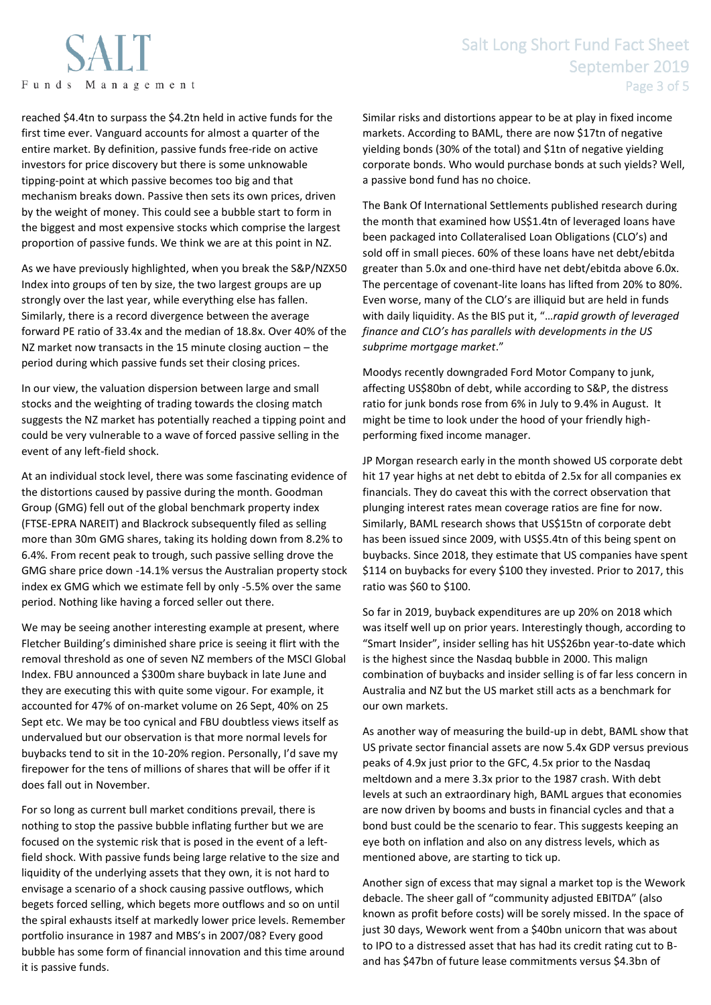reached \$4.4tn to surpass the \$4.2tn held in active funds for the first time ever. Vanguard accounts for almost a quarter of the entire market. By definition, passive funds free-ride on active investors for price discovery but there is some unknowable tipping-point at which passive becomes too big and that mechanism breaks down. Passive then sets its own prices, driven by the weight of money. This could see a bubble start to form in the biggest and most expensive stocks which comprise the largest proportion of passive funds. We think we are at this point in NZ.

As we have previously highlighted, when you break the S&P/NZX50 Index into groups of ten by size, the two largest groups are up strongly over the last year, while everything else has fallen. Similarly, there is a record divergence between the average forward PE ratio of 33.4x and the median of 18.8x. Over 40% of the NZ market now transacts in the 15 minute closing auction – the period during which passive funds set their closing prices.

In our view, the valuation dispersion between large and small stocks and the weighting of trading towards the closing match suggests the NZ market has potentially reached a tipping point and could be very vulnerable to a wave of forced passive selling in the event of any left-field shock.

At an individual stock level, there was some fascinating evidence of the distortions caused by passive during the month. Goodman Group (GMG) fell out of the global benchmark property index (FTSE-EPRA NAREIT) and Blackrock subsequently filed as selling more than 30m GMG shares, taking its holding down from 8.2% to 6.4%. From recent peak to trough, such passive selling drove the GMG share price down -14.1% versus the Australian property stock index ex GMG which we estimate fell by only -5.5% over the same period. Nothing like having a forced seller out there.

We may be seeing another interesting example at present, where Fletcher Building's diminished share price is seeing it flirt with the removal threshold as one of seven NZ members of the MSCI Global Index. FBU announced a \$300m share buyback in late June and they are executing this with quite some vigour. For example, it accounted for 47% of on-market volume on 26 Sept, 40% on 25 Sept etc. We may be too cynical and FBU doubtless views itself as undervalued but our observation is that more normal levels for buybacks tend to sit in the 10-20% region. Personally, I'd save my firepower for the tens of millions of shares that will be offer if it does fall out in November.

For so long as current bull market conditions prevail, there is nothing to stop the passive bubble inflating further but we are focused on the systemic risk that is posed in the event of a leftfield shock. With passive funds being large relative to the size and liquidity of the underlying assets that they own, it is not hard to envisage a scenario of a shock causing passive outflows, which begets forced selling, which begets more outflows and so on until the spiral exhausts itself at markedly lower price levels. Remember portfolio insurance in 1987 and MBS's in 2007/08? Every good bubble has some form of financial innovation and this time around it is passive funds.

Similar risks and distortions appear to be at play in fixed income markets. According to BAML, there are now \$17tn of negative yielding bonds (30% of the total) and \$1tn of negative yielding corporate bonds. Who would purchase bonds at such yields? Well, a passive bond fund has no choice.

The Bank Of International Settlements published research during the month that examined how US\$1.4tn of leveraged loans have been packaged into Collateralised Loan Obligations (CLO's) and sold off in small pieces. 60% of these loans have net debt/ebitda greater than 5.0x and one-third have net debt/ebitda above 6.0x. The percentage of covenant-lite loans has lifted from 20% to 80%. Even worse, many of the CLO's are illiquid but are held in funds with daily liquidity. As the BIS put it, "…*rapid growth of leveraged finance and CLO's has parallels with developments in the US subprime mortgage market*."

Moodys recently downgraded Ford Motor Company to junk, affecting US\$80bn of debt, while according to S&P, the distress ratio for junk bonds rose from 6% in July to 9.4% in August. It might be time to look under the hood of your friendly highperforming fixed income manager.

JP Morgan research early in the month showed US corporate debt hit 17 year highs at net debt to ebitda of 2.5x for all companies ex financials. They do caveat this with the correct observation that plunging interest rates mean coverage ratios are fine for now. Similarly, BAML research shows that US\$15tn of corporate debt has been issued since 2009, with US\$5.4tn of this being spent on buybacks. Since 2018, they estimate that US companies have spent \$114 on buybacks for every \$100 they invested. Prior to 2017, this ratio was \$60 to \$100.

So far in 2019, buyback expenditures are up 20% on 2018 which was itself well up on prior years. Interestingly though, according to "Smart Insider", insider selling has hit US\$26bn year-to-date which is the highest since the Nasdaq bubble in 2000. This malign combination of buybacks and insider selling is of far less concern in Australia and NZ but the US market still acts as a benchmark for our own markets.

As another way of measuring the build-up in debt, BAML show that US private sector financial assets are now 5.4x GDP versus previous peaks of 4.9x just prior to the GFC, 4.5x prior to the Nasdaq meltdown and a mere 3.3x prior to the 1987 crash. With debt levels at such an extraordinary high, BAML argues that economies are now driven by booms and busts in financial cycles and that a bond bust could be the scenario to fear. This suggests keeping an eye both on inflation and also on any distress levels, which as mentioned above, are starting to tick up.

Another sign of excess that may signal a market top is the Wework debacle. The sheer gall of "community adjusted EBITDA" (also known as profit before costs) will be sorely missed. In the space of just 30 days, Wework went from a \$40bn unicorn that was about to IPO to a distressed asset that has had its credit rating cut to Band has \$47bn of future lease commitments versus \$4.3bn of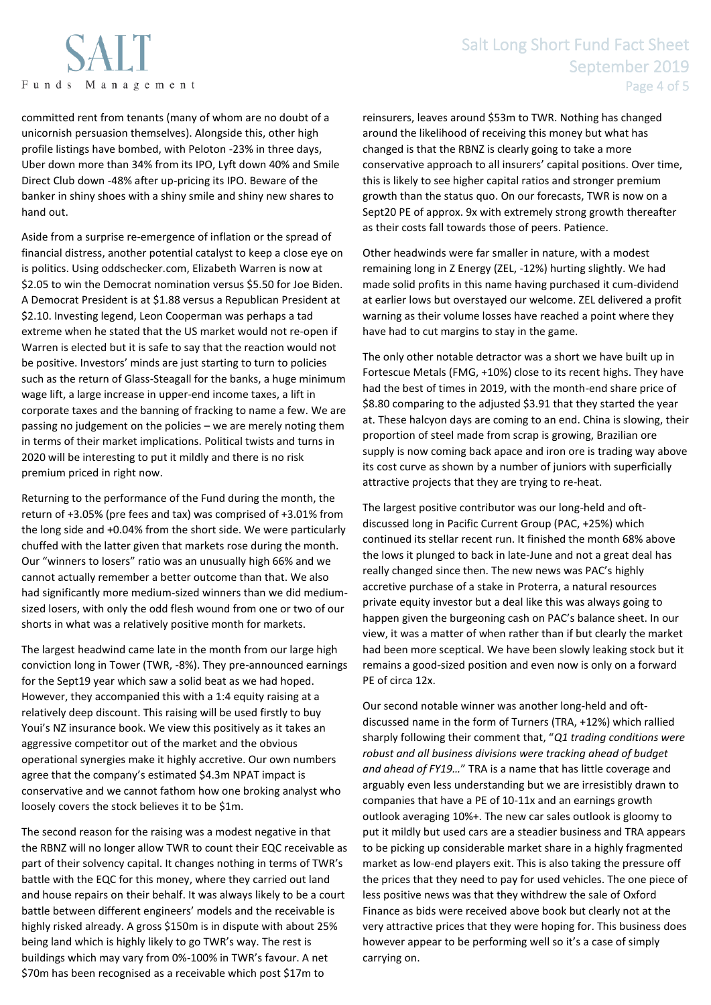committed rent from tenants (many of whom are no doubt of a unicornish persuasion themselves). Alongside this, other high profile listings have bombed, with Peloton -23% in three days, Uber down more than 34% from its IPO, Lyft down 40% and Smile Direct Club down -48% after up-pricing its IPO. Beware of the banker in shiny shoes with a shiny smile and shiny new shares to hand out.

Aside from a surprise re-emergence of inflation or the spread of financial distress, another potential catalyst to keep a close eye on is politics. Using oddschecker.com, Elizabeth Warren is now at \$2.05 to win the Democrat nomination versus \$5.50 for Joe Biden. A Democrat President is at \$1.88 versus a Republican President at \$2.10. Investing legend, Leon Cooperman was perhaps a tad extreme when he stated that the US market would not re-open if Warren is elected but it is safe to say that the reaction would not be positive. Investors' minds are just starting to turn to policies such as the return of Glass-Steagall for the banks, a huge minimum wage lift, a large increase in upper-end income taxes, a lift in corporate taxes and the banning of fracking to name a few. We are passing no judgement on the policies – we are merely noting them in terms of their market implications. Political twists and turns in 2020 will be interesting to put it mildly and there is no risk premium priced in right now.

Returning to the performance of the Fund during the month, the return of +3.05% (pre fees and tax) was comprised of +3.01% from the long side and +0.04% from the short side. We were particularly chuffed with the latter given that markets rose during the month. Our "winners to losers" ratio was an unusually high 66% and we cannot actually remember a better outcome than that. We also had significantly more medium-sized winners than we did mediumsized losers, with only the odd flesh wound from one or two of our shorts in what was a relatively positive month for markets.

The largest headwind came late in the month from our large high conviction long in Tower (TWR, -8%). They pre-announced earnings for the Sept19 year which saw a solid beat as we had hoped. However, they accompanied this with a 1:4 equity raising at a relatively deep discount. This raising will be used firstly to buy Youi's NZ insurance book. We view this positively as it takes an aggressive competitor out of the market and the obvious operational synergies make it highly accretive. Our own numbers agree that the company's estimated \$4.3m NPAT impact is conservative and we cannot fathom how one broking analyst who loosely covers the stock believes it to be \$1m.

The second reason for the raising was a modest negative in that the RBNZ will no longer allow TWR to count their EQC receivable as part of their solvency capital. It changes nothing in terms of TWR's battle with the EQC for this money, where they carried out land and house repairs on their behalf. It was always likely to be a court battle between different engineers' models and the receivable is highly risked already. A gross \$150m is in dispute with about 25% being land which is highly likely to go TWR's way. The rest is buildings which may vary from 0%-100% in TWR's favour. A net \$70m has been recognised as a receivable which post \$17m to

reinsurers, leaves around \$53m to TWR. Nothing has changed around the likelihood of receiving this money but what has changed is that the RBNZ is clearly going to take a more conservative approach to all insurers' capital positions. Over time, this is likely to see higher capital ratios and stronger premium growth than the status quo. On our forecasts, TWR is now on a Sept20 PE of approx. 9x with extremely strong growth thereafter as their costs fall towards those of peers. Patience.

Other headwinds were far smaller in nature, with a modest remaining long in Z Energy (ZEL, -12%) hurting slightly. We had made solid profits in this name having purchased it cum-dividend at earlier lows but overstayed our welcome. ZEL delivered a profit warning as their volume losses have reached a point where they have had to cut margins to stay in the game.

The only other notable detractor was a short we have built up in Fortescue Metals (FMG, +10%) close to its recent highs. They have had the best of times in 2019, with the month-end share price of \$8.80 comparing to the adjusted \$3.91 that they started the year at. These halcyon days are coming to an end. China is slowing, their proportion of steel made from scrap is growing, Brazilian ore supply is now coming back apace and iron ore is trading way above its cost curve as shown by a number of juniors with superficially attractive projects that they are trying to re-heat.

The largest positive contributor was our long-held and oftdiscussed long in Pacific Current Group (PAC, +25%) which continued its stellar recent run. It finished the month 68% above the lows it plunged to back in late-June and not a great deal has really changed since then. The new news was PAC's highly accretive purchase of a stake in Proterra, a natural resources private equity investor but a deal like this was always going to happen given the burgeoning cash on PAC's balance sheet. In our view, it was a matter of when rather than if but clearly the market had been more sceptical. We have been slowly leaking stock but it remains a good-sized position and even now is only on a forward PE of circa 12x.

Our second notable winner was another long-held and oftdiscussed name in the form of Turners (TRA, +12%) which rallied sharply following their comment that, "*Q1 trading conditions were robust and all business divisions were tracking ahead of budget and ahead of FY19…*" TRA is a name that has little coverage and arguably even less understanding but we are irresistibly drawn to companies that have a PE of 10-11x and an earnings growth outlook averaging 10%+. The new car sales outlook is gloomy to put it mildly but used cars are a steadier business and TRA appears to be picking up considerable market share in a highly fragmented market as low-end players exit. This is also taking the pressure off the prices that they need to pay for used vehicles. The one piece of less positive news was that they withdrew the sale of Oxford Finance as bids were received above book but clearly not at the very attractive prices that they were hoping for. This business does however appear to be performing well so it's a case of simply carrying on.